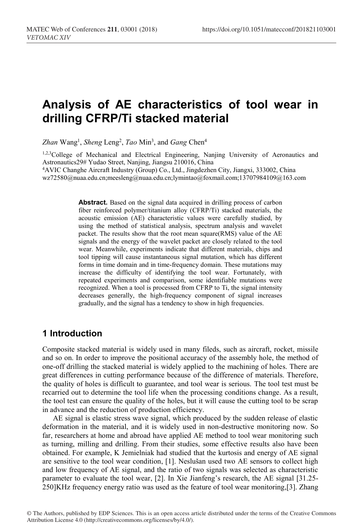# **Analysis of AE characteristics of tool wear in drilling CFRP/Ti stacked material**

Zhan Wang<sup>1</sup>, *Sheng* Leng<sup>2</sup>, *Tao* Min<sup>3</sup>, and *Gang* Chen<sup>4</sup>

1,2,3College of Mechanical and Electrical Engineering, Nanjing University of Aeronautics and Astronautics29# Yudao Street, Nanjing, Jiangsu 210016, China 4AVIC Changhe Aircraft Industry (Group) Co., Ltd., Jingdezhen City, Jiangxi, 333002, China

wz72580@nuaa.edu.cn;meesleng@nuaa.edu.cn;lymintao@foxmail.com;13707984109@163.com

**Abstract.** Based on the signal data acquired in drilling process of carbon fiber reinforced polymer/titanium alloy (CFRP/Ti) stacked materials, the acoustic emission (AE) characteristic values were carefully studied, by using the method of statistical analysis, spectrum analysis and wavelet packet. The results show that the root mean square(RMS) value of the AE signals and the energy of the wavelet packet are closely related to the tool wear. Meanwhile, experiments indicate that different materials, chips and tool tipping will cause instantaneous signal mutation, which has different forms in time domain and in time-frequency domain. These mutations may increase the difficulty of identifying the tool wear. Fortunately, with repeated experiments and comparison, some identifiable mutations were recognized. When a tool is processed from CFRP to Ti, the signal intensity decreases generally, the high-frequency component of signal increases gradually, and the signal has a tendency to show in high frequencies.

# **1 Introduction**

Composite stacked material is widely used in many fileds, such as aircraft, rocket, missile and so on. In order to improve the positional accuracy of the assembly hole, the method of one-off drilling the stacked material is widely applied to the machining of holes. There are great differences in cutting performance because of the difference of materials. Therefore, the quality of holes is difficult to guarantee, and tool wear is serious. The tool test must be recarried out to determine the tool life when the processing conditions change. As a result, the tool test can ensure the quality of the holes, but it will cause the cutting tool to be scrap in advance and the reduction of production efficiency.

AE signal is elastic stress wave signal, which produced by the sudden release of elastic deformation in the material, and it is widely used in non-destructive monitoring now. So far, researchers at home and abroad have applied AE method to tool wear monitoring such as turning, milling and drilling. From their studies, some effective results also have been obtained. For example, K Jemielniak had studied that the kurtosis and energy of AE signal are sensitive to the tool wear condition, [1]. Neslušan used two AE sensors to collect high and low frequency of AE signal, and the ratio of two signals was selected as characteristic parameter to evaluate the tool wear, [2]. In Xie Jianfeng's research, the AE signal [31.25- 250]KHz frequency energy ratio was used as the feature of tool wear monitoring,[3]. Zhang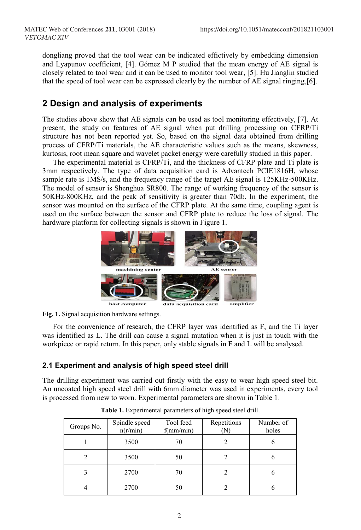dongliang proved that the tool wear can be indicated effictively by embedding dimension and Lyapunov coefficient, [4]. Gómez M P studied that the mean energy of AE signal is closely related to tool wear and it can be used to monitor tool wear, [5]. Hu Jianglin studied that the speed of tool wear can be expressed clearly by the number of AE signal ringing,[6].

# **2 Design and analysis of experiments**

The studies above show that AE signals can be used as tool monitoring effectively, [7]. At present, the study on features of AE signal when put drilling processing on CFRP/Ti structure has not been reported yet. So, based on the signal data obtained from drilling process of CFRP/Ti materials, the AE characteristic values such as the means, skewness, kurtosis, root mean square and wavelet packet energy were carefully studied in this paper.

The experimental material is CFRP/Ti, and the thickness of CFRP plate and Ti plate is 3mm respectively. The type of data acquisition card is Advantech PCIE1816H, whose sample rate is 1MS/s, and the frequency range of the target AE signal is 125KHz-500KHz. The model of sensor is Shenghua SR800. The range of working frequency of the sensor is 50KHz-800KHz, and the peak of sensitivity is greater than 70db. In the experiment, the sensor was mounted on the surface of the CFRP plate. At the same time, coupling agent is used on the surface between the sensor and CFRP plate to reduce the loss of signal. The hardware platform for collecting signals is shown in Figure 1.



**Fig. 1.** Signal acquisition hardware settings.

For the convenience of research, the CFRP layer was identified as F, and the Ti layer was identified as L. The drill can cause a signal mutation when it is just in touch with the workpiece or rapid return. In this paper, only stable signals in F and L will be analysed.

# **2.1 Experiment and analysis of high speed steel drill**

The drilling experiment was carried out firstly with the easy to wear high speed steel bit. An uncoated high speed steel drill with 6mm diameter was used in experiments, every tool is processed from new to worn. Experimental parameters are shown in Table 1.

| Groups No. | Spindle speed<br>n(r/min) | Tool feed<br>f(mm/min) | Repetitions | Number of<br>holes |
|------------|---------------------------|------------------------|-------------|--------------------|
|            | 3500                      | 70                     |             |                    |
|            | 3500                      | 50                     |             |                    |
| 3          | 2700                      | 70                     |             |                    |
|            | 2700                      | 50                     |             |                    |

**Table 1.** Experimental parameters of high speed steel drill.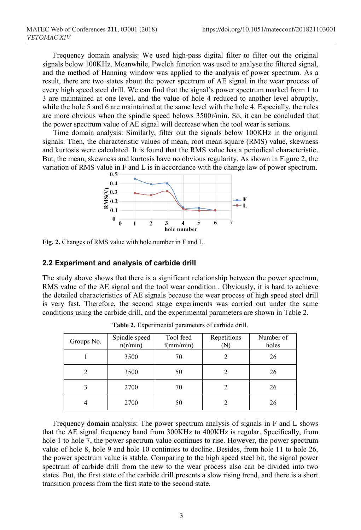Frequency domain analysis: We used high-pass digital filter to filter out the original signals below 100KHz. Meanwhile, Pwelch function was used to analyse the filtered signal, and the method of Hanning window was applied to the analysis of power spectrum. As a result, there are two states about the power spectrum of AE signal in the wear process of every high speed steel drill. We can find that the signal's power spectrum marked from 1 to 3 are maintained at one level, and the value of hole 4 reduced to another level abruptly, while the hole 5 and 6 are maintained at the same level with the hole 4. Especially, the rules are more obvious when the spindle speed belows 3500r/min. So, it can be concluded that the power spectrum value of AE signal will decrease when the tool wear is serious.

Time domain analysis: Similarly, filter out the signals below 100KHz in the original signals. Then, the characteristic values of mean, root mean square (RMS) value, skewness and kurtosis were calculated. It is found that the RMS value has a periodical characteristic. But, the mean, skewness and kurtosis have no obvious regularity. As shown in Figure 2, the variation of RMS value in F and L is in accordance with the change law of power spectrum.



**Fig. 2.** Changes of RMS value with hole number in F and L.

#### **2.2 Experiment and analysis of carbide drill**

The study above shows that there is a significant relationship between the power spectrum, RMS value of the AE signal and the tool wear condition . Obviously, it is hard to achieve the detailed characteristics of AE signals because the wear process of high speed steel drill is very fast. Therefore, the second stage experiments was carried out under the same conditions using the carbide drill, and the experimental parameters are shown in Table 2.

| Groups No. | Spindle speed<br>n(r/min) | Tool feed<br>f(mm/min) | Repetitions<br>N | Number of<br>holes |
|------------|---------------------------|------------------------|------------------|--------------------|
|            | 3500                      | 70                     |                  | 26                 |
|            | 3500                      | 50                     |                  | 26                 |
|            | 2700                      | 70                     |                  | 26                 |
|            | 2700                      | 50                     |                  | 26                 |

**Table 2.** Experimental parameters of carbide drill.

Frequency domain analysis: The power spectrum analysis of signals in F and L shows that the AE signal frequency band from 300KHz to 400KHz is regular. Specifically, from hole 1 to hole 7, the power spectrum value continues to rise. However, the power spectrum value of hole 8, hole 9 and hole 10 continues to decline. Besides, from hole 11 to hole 26, the power spectrum value is stable. Comparing to the high speed steel bit, the signal power spectrum of carbide drill from the new to the wear process also can be divided into two states. But, the first state of the carbide drill presents a slow rising trend, and there is a short transition process from the first state to the second state.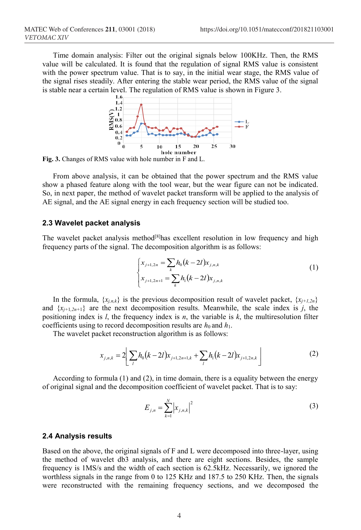Time domain analysis: Filter out the original signals below 100KHz. Then, the RMS value will be calculated. It is found that the regulation of signal RMS value is consistent with the power spectrum value. That is to say, in the initial wear stage, the RMS value of the signal rises steadily. After entering the stable wear period, the RMS value of the signal is stable near a certain level. The regulation of RMS value is shown in Figure 3.



**Fig. 3.** Changes of RMS value with hole number in F and L.

From above analysis, it can be obtained that the power spectrum and the RMS value show a phased feature along with the tool wear, but the wear figure can not be indicated. So, in next paper, the method of wavelet packet transform will be applied to the analysis of AE signal, and the AE signal energy in each frequency section will be studied too.

#### **2.3 Wavelet packet analysis**

The wavelet packet analysis method<sup>[8]</sup>has excellent resolution in low frequency and high frequency parts of the signal. The decomposition algorithm is as follows:

$$
\begin{cases} x_{j+1,2n} = \sum_{k} h_0(k-2l)x_{j,n,k} \\ x_{j+1,2n+1} = \sum_{k} h_1(k-2l)x_{j,n,k} \end{cases}
$$
 (1)

In the formula,  $\{x_{j,n,k}\}\$ is the previous decomposition result of wavelet packet,  $\{x_{j+1,2n}\}\$ and  $\{x_{i+1}, x_{n+1}\}$  are the next decomposition results. Meanwhile, the scale index is *j*, the positioning index is *l*, the frequency index is *n*, the variable is *k*, the multiresolution filter coefficients using to record decomposition results are  $h_0$  and  $h_1$ .

The wavelet packet reconstruction algorithm is as follows:

$$
x_{j,n,k} = 2\left[ \sum_{l} h_0(k-2l)x_{j+1,2n+1,k} + \sum_{l} h_1(k-2l)x_{j+1,2n,k} \right]
$$
 (2)

According to formula (1) and (2), in time domain, there is a equality between the energy of original signal and the decomposition coefficient of wavelet packet. That is to say:

$$
E_{j,n} = \sum_{k=1}^{N} \left| x_{j,n,k} \right|^2 \tag{3}
$$

#### **2.4 Analysis results**

Based on the above, the original signals of F and L were decomposed into three-layer, using the method of wavelet db3 analysis, and there are eight sections. Besides, the sample frequency is 1MS/s and the width of each section is 62.5kHz. Necessarily, we ignored the worthless signals in the range from 0 to 125 KHz and 187.5 to 250 KHz. Then, the signals were reconstructed with the remaining frequency sections, and we decomposed the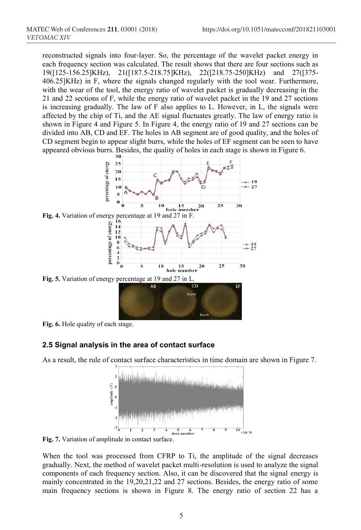reconstructed signals into four-layer. So, the percentage of the wavelet packet energy in each frequency section was calculated. The result shows that there are four sections such as 19([125-156.25]KHz), 21([187.5-218.75]KHz), 22([218.75-250]KHz) and 27([375- 406.25]KHz) in F, where the signals changed regularly with the tool wear. Furthermore, with the wear of the tool, the energy ratio of wavelet packet is gradually decreasing in the 21 and 22 sections of F, while the energy ratio of wavelet packet in the 19 and 27 sections is increasing gradually. The law of F also applies to L. However, in L, the signals were affected by the chip of Ti, and the AE signal fluctuates greatly. The law of energy ratio is shown in Figure 4 and Figure 5. In Figure 4, the energy ratio of 19 and 27 sections can be divided into AB, CD and EF. The holes in AB segment are of good quality, and the holes of CD segment begin to appear slight burrs, while the holes of EF segment can be seen to have appeared obvious burrs. Besides, the quality of holes in each stage is shown in Figure 6.



**Fig. 6.** Hole quality of each stage.

### **2.5 Signal analysis in the area of contact surface**

As a result, the rule of contact surface characteristics in time domain are shown in Figure 7.

burrs



**Fig. 7.** Variation of amplitude in contact surface.

When the tool was processed from CFRP to Ti, the amplitude of the signal decreases gradually. Next, the method of wavelet packet multi-resolution is used to analyze the signal components of each frequency section. Also, it can be discovered that the signal energy is mainly concentrated in the 19,20,21,22 and 27 sections. Besides, the energy ratio of some main frequency sections is shown in Figure 8. The energy ratio of section 22 has a